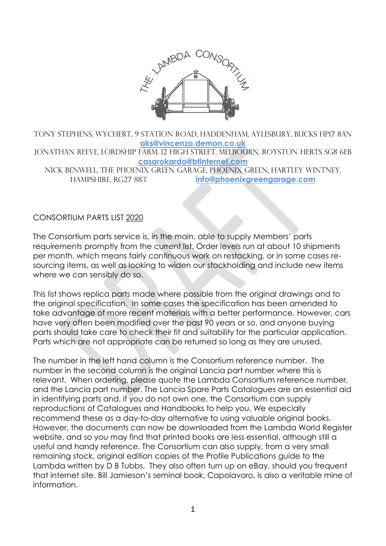

TONY STEPHENS, WYCHERT, 9 STATION ROAD, HADDENHAM, AYLESBURY, BUCKS HP17 8AN **[aks@vincenzo.demon.co.uk](mailto:aks@vincenzo.demon.co.uk)** Jonathan REEVE, Lordship Farm, 12 High Street, Melbourn, Royston Herts SG8 6EB **[casarokardo@btinternet.com](mailto:casarokardo@btinternet.com)** NICK BENWELL, The Phoenix Green Garage, Phoenix Green, Hartley Wintney, Hampshire, RG27 8RT **[info@phoenixgreengarage.com](mailto:info@phoenixgreengarage.com)**

#### CONSORTIUM PARTS LIST 2020

The Consortium parts service is, in the main, able to supply Members' parts requirements promptly from the current list. Order levels run at about 10 shipments per month, which means fairly continuous work on restocking, or in some cases resourcing items, as well as looking to widen our stockholding and include new items where we can sensibly do so.

This list shows replica parts made where possible from the original drawings and to the original specification. In some cases the specification has been amended to take advantage of more recent materials with a better performance. However, cars have very often been modified over the past 90 years or so, and anyone buying parts should take care to check their fit and suitability for the particular application. Parts which are not appropriate can be returned so long as they are unused.

The number in the left hand column is the Consortium reference number. The number in the second column is the original Lancia part number where this is relevant. When ordering, please quote the Lambda Consortium reference number, and the Lancia part number. The Lancia Spare Parts Catalogues are an essential aid in identifying parts and, if you do not own one, the Consortium can supply reproductions of Catalogues and Handbooks to help you. We especially recommend these as a day-to-day alternative to using valuable original books. However, the documents can now be downloaded from the Lambda World Register website, and so you may find that printed books are less essential, although still a useful and handy reference. The Consortium can also supply, from a very small remaining stock, original edition copies of the Profile Publications guide to the Lambda written by D B Tubbs. They also often turn up on eBay, should you frequent that internet site. Bill Jamieson's seminal book, Capolavoro, is also a veritable mine of information.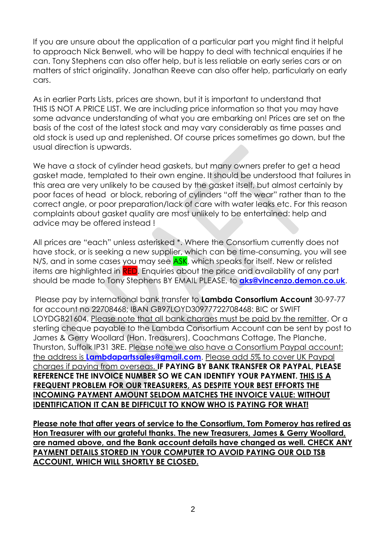If you are unsure about the application of a particular part you might find it helpful to approach Nick Benwell, who will be happy to deal with technical enquiries if he can. Tony Stephens can also offer help, but is less reliable on early series cars or on matters of strict originality. Jonathan Reeve can also offer help, particularly on early cars.

As in earlier Parts Lists, prices are shown, but it is important to understand that THIS IS NOT A PRICE LIST. We are including price information so that you may have some advance understanding of what you are embarking on! Prices are set on the basis of the cost of the latest stock and may vary considerably as time passes and old stock is used up and replenished. Of course prices sometimes go down, but the usual direction is upwards.

We have a stock of cylinder head gaskets, but many owners prefer to get a head gasket made, templated to their own engine. It should be understood that failures in this area are very unlikely to be caused by the gasket itself, but almost certainly by poor faces of head or block, reboring of cylinders "off the wear" rather than to the correct angle, or poor preparation/lack of care with water leaks etc. For this reason complaints about gasket quality are most unlikely to be entertained: help and advice may be offered instead !

All prices are "each" unless asterisked \*. Where the Consortium currently does not have stock, or is seeking a new supplier, which can be time-consuming, you will see N/S, and in some cases you may see ASK, which speaks for itself. New or relisted items are highlighted in RED. Enquiries about the price and availability of any part should be made to Tony Stephens BY EMAIL PLEASE, to **[aks@vincenzo.demon.co.uk](mailto:aks@vincenzo.demon.co.uk)**.

Please pay by international bank transfer to **Lambda Consortium Account** 30-97-77 for account no 22708468; IBAN GB97LOYD30977722708468: BIC or SWIFT LOYDGB21604. Please note that all bank charges must be paid by the remitter. Or a sterling cheque payable to the Lambda Consortium Account can be sent by post to James & Gerry Woollard (Hon. Treasurers), Coachmans Cottage, The Planche, Thurston, Suffolk IP31 3RE. Please note we also have a Consortium Paypal account: the address is **[Lambdapartssales@gmail.com](mailto:Lambdapartssales@gmail.com)**. Please add 5% to cover UK Paypal charges if paying from overseas. **IF PAYING BY BANK TRANSFER OR PAYPAL, PLEASE REFERENCE THE INVOICE NUMBER SO WE CAN IDENTIFY YOUR PAYMENT. THIS IS A FREQUENT PROBLEM FOR OUR TREASURERS, AS DESPITE YOUR BEST EFFORTS THE INCOMING PAYMENT AMOUNT SELDOM MATCHES THE INVOICE VALUE: WITHOUT IDENTIFICATION IT CAN BE DIFFICULT TO KNOW WHO IS PAYING FOR WHAT!**

**Please note that after years of service to the Consortium, Tom Pomeroy has retired as Hon Treasurer with our grateful thanks. The new Treasurers, James & Gerry Woollard, are named above, and the Bank account details have changed as well. CHECK ANY PAYMENT DETAILS STORED IN YOUR COMPUTER TO AVOID PAYING OUR OLD TSB ACCOUNT, WHICH WILL SHORTLY BE CLOSED.**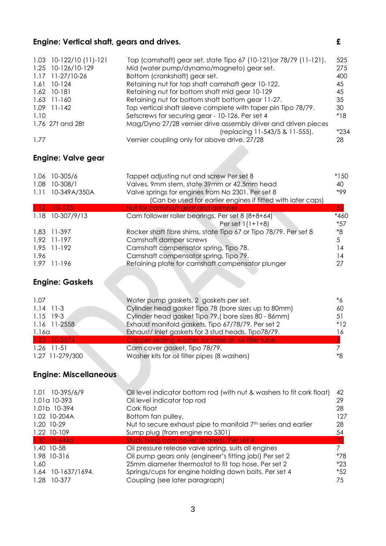## **Engine: Vertical shaft, gears and drives. £**

|      | $1.03$ 10-122/10 (11)-121 | Top (camshaft) gear set, state Tipo 67 (10-121) or 78/79 (11-121). | 525   |
|------|---------------------------|--------------------------------------------------------------------|-------|
|      | 1.25 10-126/10-129        | Mid (water pump/dynamo/magneto) gear set.                          | 275   |
|      | 1.17 11-27/10-26          | Bottom (crankshaft) gear set.                                      | 400   |
|      | $1.61$ 10-124             | Retaining nut for top shaft camshaft gear 10-122.                  | 45    |
|      | 1.62 10-181               | Retaining nut for bottom shaft mid gear 10-129                     | 45    |
|      | $1.63$ 11-160             | Retaining nut for bottom shaft bottom gear 11-27.                  | 35    |
|      | $1.09$ 11-142             | Top vertical shaft sleeve complete with taper pin Tipo 78/79.      | 30    |
| 1.10 |                           | Setscrews for securing gear - 10-126. Per set 4                    | $*18$ |
|      | 1.76 27t and 28t          | Mag/Dyno 27/28 vernier drive assembly driver and driven pieces     |       |
|      |                           | (replacing 11-543/5 & 11-555).                                     | *234  |
| 1.77 |                           | Vernier coupling only for above drive. 27/28                       | 28    |

### **Engine: Valve gear**

| 1.06     | 10-305/6         | Tappet adjusting nut and screw Per set 8                         | $*15C$ |
|----------|------------------|------------------------------------------------------------------|--------|
| 1.08     | 10-308/1         | Valves, 9mm stem, state 39mm or 42.5mm head                      | 40     |
| 1.11     | 10-349A/350A     | Valve springs for engines from No 2301. Per set 8                | *99    |
|          |                  | (Can be used for earlier engines if fitted with later caps)      |        |
| $1.12 -$ | $10-123$         | Nut for camshaft gear and damper                                 | 50     |
|          | 1.18 10-307/9/13 | Cam follower roller bearings, Per set 8 (8+8+64)                 | *46C   |
|          |                  | Per set $1(1+1+8)$                                               | $*57$  |
|          | 1.83 11-397      | Rocker shaft fibre shims, state Tipo 67 or Tipo 78/79. Per set 8 | *8     |
|          | 1.92 11-197      | Camshaft damper screws                                           | 5      |
|          | 1.95 11-192      | Camshaft compensator spring, Tipo 78.                            | l 4    |
| 1.96     |                  | Camshaft compensator spring, Tipo 79.                            | 14     |
| 1.97     | 11-196           | Retaining plate for camshaft compensator plunger                 |        |
|          |                  |                                                                  |        |

# **Engine: Gaskets**

| 1.07            | Water pump gaskets, 2 gaskets per set.               | *6    |
|-----------------|------------------------------------------------------|-------|
| $1.14$ 11-3     | Cylinder head gasket Tipo 78 (bore sizes up to 80mm) | 60    |
| $1.15$ 19-3     | Cylinder head gasket Tipo 79, (bore sizes 80 - 86mm) | 51    |
| 1.16 11-2558    | Exhaust manifold gaskets, Tipo 67/78/79. Per set 2   | $*12$ |
| 1.16a           | Exhaust/Inlet gaskets for 3 stud heads, Tipo78/79.   | 16    |
| 1.23 10-2574    | Copper sealing washer for base of oil filler tube    |       |
| $1.26$ 11-51    | Cam cover gasket, Tipo 78/79.                        |       |
| 1.27 11-279/300 | Washer kits for oil filter pipes (8 washers)         | *8    |

## **Engine: Miscellaneous**

| 1.01 10-395/6/9       | Oil level indicator bottom rod (with nut & washers to fit cork float)     | 42    |
|-----------------------|---------------------------------------------------------------------------|-------|
| 1.01a 10-393          | Oil level indicator top rod                                               | 29    |
| 1.01b 10-394          | Cork float                                                                | 28    |
| 1.02 10-204A          | Bottom fan pulley.                                                        | 127   |
| 1.20 10-29            | Nut to secure exhaust pipe to manifold 7 <sup>th</sup> series and earlier | 28    |
| 1.22 10-109           | Sump plug (from engine no 5301)                                           | 54    |
| $1.30$ 10-644a        | Studs fixing cam cover (plated). Per set 4                                | 70    |
| 1.40 10-58            | Oil pressure release valve spring, suits all engines                      |       |
| 1.98 10-316           | Oil pump gears only (engineer's fitting job!) Per set 2                   | *78   |
| 1.60                  | 25mm diameter thermostat to fit top hose. Per set 2                       | $*23$ |
| 10-1637/1694.<br>1.64 | Springs/cups for engine holding down bolts. Per set 4                     | $*52$ |
| 1.28<br>10-377        | Coupling (see later paragraph)                                            | 75    |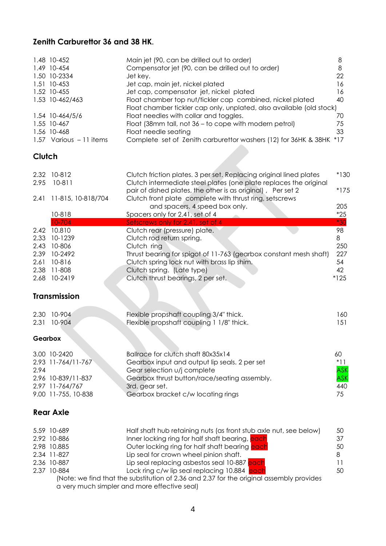#### **Zenith Carburettor 36 and 38 HK.**

|                                                      | 1.48 10-452<br>1.49 10-454<br>1.50 10-2334<br>1.51 10-453<br>1.52 10-455<br>1.53 10-462/463<br>1.54 10-464/5/6<br>1.55 10-467 | Main jet (90, can be drilled out to order)<br>Compensator jet (90, can be drilled out to order)<br>Jet key.<br>Jet cap, main jet, nickel plated<br>Jet cap, compensator jet, nickel plated<br>Float chamber top nut/tickler cap combined, nickel plated<br>Float chamber tickler cap only, unplated, also available (old stock)<br>Float needles with collar and toggles.<br>Float (38mm tall, not 36 - to cope with modern petrol)                          | 8<br>8<br>22<br>16<br>16<br>40<br>70<br>75    |
|------------------------------------------------------|-------------------------------------------------------------------------------------------------------------------------------|--------------------------------------------------------------------------------------------------------------------------------------------------------------------------------------------------------------------------------------------------------------------------------------------------------------------------------------------------------------------------------------------------------------------------------------------------------------|-----------------------------------------------|
|                                                      | 1.56 10-468<br>1.57 Various - 11 items                                                                                        | Float needle seating<br>Complete set of Zenith carburettor washers (12) for 36HK & 38HK *17                                                                                                                                                                                                                                                                                                                                                                  | 33                                            |
| Clutch                                               |                                                                                                                               |                                                                                                                                                                                                                                                                                                                                                                                                                                                              |                                               |
| 2.32<br>2.95                                         | 10-812<br>$10-811$                                                                                                            | Clutch friction plates. 3 per set. Replacing original lined plates<br>Clutch intermediate steel plates (one plate replaces the original<br>pair of dished plates, the other is as original), Per set 2                                                                                                                                                                                                                                                       | $*13C$<br>$*175$                              |
| 2.41                                                 | 11-815, 10-818/704                                                                                                            | Clutch front plate complete with thrust ring, setscrews<br>and spacers. 4 speed box only.                                                                                                                                                                                                                                                                                                                                                                    | 205                                           |
|                                                      | 10-818<br>10-704                                                                                                              | Spacers only for 2.41, set of 4<br>Setscrews only for 2.41, set of 4                                                                                                                                                                                                                                                                                                                                                                                         | $*25$<br>$*30$                                |
| 2.42<br>2.33<br>2.43<br>2.39<br>2.61<br>2.38<br>2.68 | 10.810<br>10-1239<br>10-806<br>10-2492<br>10-816<br>11-808<br>10-2419                                                         | Clutch rear (pressure) plate.<br>Clutch rod return spring.<br>Clutch ring<br>Thrust bearing for spigot of 11-763 (gearbox constant mesh shaft)<br>Clutch spring lock nut with brass lip shim.<br>Clutch spring. (Late type)<br>Clutch thrust bearings, 2 per set.                                                                                                                                                                                            | 98<br>8<br>250<br>227<br>54<br>42<br>$*125$   |
|                                                      | <b>Transmission</b>                                                                                                           |                                                                                                                                                                                                                                                                                                                                                                                                                                                              |                                               |
| 2.30<br>2.31                                         | 10-904<br>10-904                                                                                                              | Flexible propshaft coupling 3/4" thick.<br>Flexible propshaft coupling 1 1/8" thick.                                                                                                                                                                                                                                                                                                                                                                         | 160<br>151                                    |
| Gearbox                                              |                                                                                                                               |                                                                                                                                                                                                                                                                                                                                                                                                                                                              |                                               |
| 2.94                                                 | 3.00 10-2420<br>2.93 11-764/11-767<br>2.96 10-839/11-837<br>2.97 11-764/767<br>9.00 11-755, 10-838                            | Ballrace for clutch shaft 80x35x14<br>Gearbox input and output lip seals. 2 per set<br>Gear selection u/j complete<br>Gearbox thrust button/race/seating assembly.<br>3rd. gear set.<br>Gearbox bracket c/w locating rings                                                                                                                                                                                                                                   | 60<br>$*11$<br><b>ASK</b><br>ASK<br>440<br>75 |
|                                                      | <b>Rear Axle</b>                                                                                                              |                                                                                                                                                                                                                                                                                                                                                                                                                                                              |                                               |
|                                                      | 5.59 10-689<br>2.92 10-886<br>2.98 10.885<br>2.34 11-827<br>2.36 10-887<br>2.37 10-884                                        | Half shaft hub retaining nuts (as front stub axle nut, see below)<br>Inner locking ring for half shaft bearing, each<br>Outer locking ring for half shaft bearing each<br>Lip seal for crown wheel pinion shaft.<br>Lip seal replacing asbestos seal 10-887 each<br>Lock ring c/w lip seal replacing 10.884 each<br>(Note: we find that the substitution of 2.36 and 2.37 for the original assembly provides<br>a very much simpler and more effective seal) | 50<br>37<br>50<br>8<br>11<br>50               |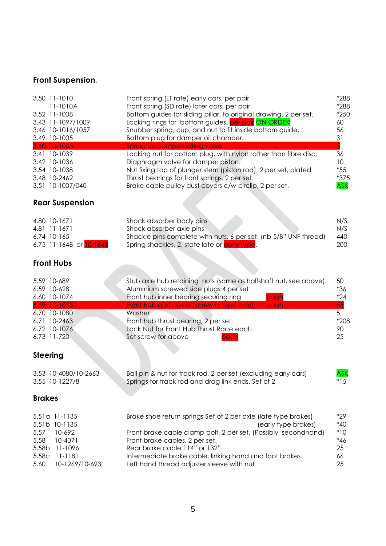## **Front Suspension.**

| 3.50 11-1010      | Front spring (LT rate) early cars, per pair                       | *288   |
|-------------------|-------------------------------------------------------------------|--------|
| 11-1010A          | Front spring (SD rate) later cars, per pair                       | *288   |
| 3.52 11-1008      | Bottom guides for sliding pillar, to original drawing. 2 per set. | $*250$ |
| 3.43 11-1097/1009 | Locking rings for bottom guides, per pair ON ORDER                | 60     |
| 3.46 10-1016/1057 | Snubber spring, cup, and nut to fit inside bottom guide.          | 56     |
| 3.49 10-1005      | Bottom plug for damper oil chamber.                               | 31     |
| 3.40 10-1065      | Spring for compensating valve                                     | 5      |
| 3.41 10-1039      | Locking nut for bottom plug, with nylon rather than fibre disc.   | 36     |
| 3.42 10-1036      | Diaphragm valve for damper piston.                                | 10     |
| 3.54 10-1038      | Nut fixing top of plunger stem (piston rod), 2 per set, plated    | *55    |
| 3.48 10-2462      | Thrust bearings for front springs. 2 per set.                     | $*375$ |
| 3.51 10-1007/040  | Brake cable pulley dust covers c/w circlip, 2 per set.            | ASK    |

## **Rear Suspension**

| 4.80 10-1671            | Shock absorber body pins                                         | N/S |
|-------------------------|------------------------------------------------------------------|-----|
| 4.81 11-1671            | Shock absorber axle pins                                         | N/S |
| 6.74 10-165             | Shackle pins complete with nuts, 6 per set. (nb 5/8" UNF thread) | 440 |
| 6.75 11-1648 or 10-1648 | Spring shackles, 2, state late or <mark>early type</mark> .      | 200 |

### **Front Hubs**

| 5.59 10-689  | Stub axle hub retaining nuts (same as halfshaft nut, see above). | - 50  |
|--------------|------------------------------------------------------------------|-------|
| 6.59 10-628  | Aluminium screwed side plugs 4 per set                           | *36   |
| 6.60 10-1074 | Front hub inner bearing securing ring.<br>each                   | $*24$ |
| 6.69 10-1075 | Front hub dust cover (screw in type only)<br>each                | $-55$ |
| 6.70 10-1080 | Washer                                                           |       |
| 6.71 10-2463 | Front hub thrust bearing, 2 per set.                             | *208  |
| 6.72 10-1076 | Lock Nut for Front Hub Thrust Race each                          | 90    |
| 6.73 11-720  | Set screw for above<br>each                                      | -25   |

# **Steering**

| 3.53 10-4080/10-2663 | Ball pin & nut for track rod, 2 per set (excluding early cars) | <b>ASK</b> |
|----------------------|----------------------------------------------------------------|------------|
| 3.55 10-1227/8       | Springs for track rod and drag link ends. Set of 2             | $*15$      |

#### **Brakes**

| 5.51a 11-1135       | Brake shoe return springs Set of 2 per axle (late type brakes) | $*29$ |
|---------------------|----------------------------------------------------------------|-------|
| 5.51b 10-1135       | (early type brakes)                                            | $*40$ |
| 5.57 10-692         | Front brake cable clamp bolt, 2 per set. (Possibly secondhand) | $*10$ |
| 5.58 10-4071        | Front brake cables, 2 per set.                                 | *46   |
| 5.58b 11-1096       | Rear brake cable 114" or 132"                                  | 25    |
| 5.58c 11-1181       | Intermediate brake cable, linking hand and foot brakes.        | 66    |
| 5.60 10-1269/10-693 | Left hand thread adjuster sleeve with nut                      | 25    |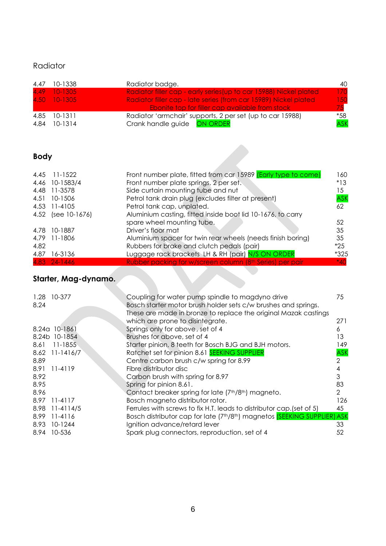### Radiator

| 4.47 | 10-1338      | Radiator badge.                                                    | 40         |
|------|--------------|--------------------------------------------------------------------|------------|
|      | 4.49 10-1305 | Radiator filler cap - early series (up to car 15988) Nickel plated | 170        |
|      | 4.50 10-1305 | Radiator filler cap - late series (from car 15989) Nickel plated   | 150        |
|      |              | <b>Ebonite top for filler cap available from stock</b>             | 75         |
|      | 4.85 10-1311 | Radiator 'armchair' supports, 2 per set (up to car 15988)          | *58        |
| 4.84 | 10-1314      | Crank handle guide ON ORDER                                        | <b>ASK</b> |

#### **Body**

| <b>Body</b> |                    |                                                                |            |
|-------------|--------------------|----------------------------------------------------------------|------------|
| 4.45        | $11 - 1522$        | Front number plate, fitted from car 15989 (Early type to come) | 160        |
| 4.46        | 10-1583/4          | Front number plate springs, 2 per set.                         | $*13$      |
| 4.48        | 11-3578            | Side curtain mounting tube and nut                             | 15         |
| 4.51        | 10-1506            | Petrol tank drain plug (excludes filter at present)            | <b>ASK</b> |
|             | 4.53 11-4105       | Petrol tank cap, unplated.                                     | 62         |
|             | 4.52 (see 10-1676) | Aluminium casting, fitted inside boot lid 10-1676, to carry    |            |
|             |                    | spare wheel mounting tube.                                     | 52         |
| 4.78        | 10-1887            | Driver's floor mat                                             | 35         |
| 4.79        | 11-1806            | Aluminium spacer for twin rear wheels (needs finish boring)    | 35         |
| 4.82        |                    | Rubbers for brake and clutch pedals (pair)                     | $*25$      |
| 4.87        | 16-3136            | Luggage rack brackets LH & RH (pair) N/S ON ORDER              | $*325$     |
|             | 4.83 24-1446       | Rubber packing for w/screen column (8th Series) per pair       | $*40$      |

## **Starter, Mag-dynamo.**

| 1.28 | 10-377         | Coupling for water pump spindle to magdyno drive                                                   | 75            |
|------|----------------|----------------------------------------------------------------------------------------------------|---------------|
| 8.24 |                | Bosch starter motor brush holder sets c/w brushes and springs.                                     |               |
|      |                | These are made in bronze to replace the original Mazak castings                                    |               |
|      |                | which are prone to disintegrate.                                                                   | 271           |
|      | 8.24a 10-1861  | Springs only for above, set of 4                                                                   | 6             |
|      | 8.24b 10-1854  | Brushes for above, set of 4                                                                        | 13.           |
| 8.61 | $11 - 1855$    | Starter pinion, 8 teeth for Bosch BJG and BJH motors.                                              | 149           |
|      | 8.62 11-1416/7 | Ratchet set for pinion 8.61 SEEKING SUPPLIER                                                       | <b>ASK</b>    |
| 8.89 |                | Centre carbon brush c/w spring for 8.99                                                            | 2             |
| 8.91 | 11-4119        | Fibre distributor disc                                                                             | 4             |
| 8.92 |                | Carbon brush with spring for 8.97                                                                  | 3             |
| 8.95 |                | Spring for pinion 8.61.                                                                            | 83            |
| 8.96 |                | Contact breaker spring for late (7 <sup>th</sup> /8 <sup>th</sup> ) magneto.                       | $\mathcal{P}$ |
| 8.97 | $11 - 4117$    | Bosch magneto distributor rotor.                                                                   | 126           |
| 8.98 | 11-4114/5      | Ferrules with screws to fix H.T. leads to distributor cap. (set of 5)                              | 45            |
| 8.99 | 11-4116        | Bosch distributor cap for late (7 <sup>th</sup> /8 <sup>th</sup> ) magnetos (SEEKING SUPPLIER) ASK |               |
| 8.93 | 10-1244        | Ignition advance/retard lever                                                                      | 33            |
|      | 8.94 10-536    | Spark plug connectors, reproduction, set of 4                                                      | 52            |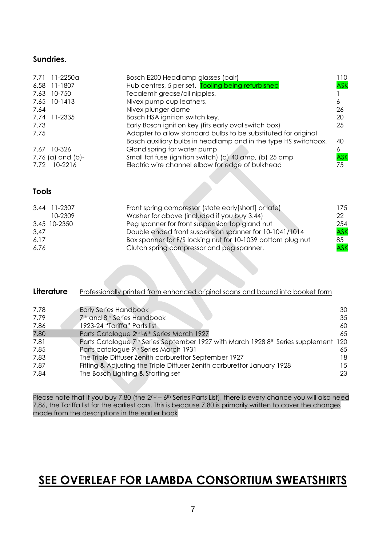#### **Sundries.**

|      | 7.71 11-2250a     | Bosch E200 Headlamp glasses (pair)                              | 110- |
|------|-------------------|-----------------------------------------------------------------|------|
|      | 6.58 11-1807      | Hub centres, 5 per set. Tooling being refurbished               | ASK  |
| 7.63 | 10-750            | Tecalemit grease/oil nipples.                                   |      |
|      | 7.65 10-1413      | Nivex pump cup leathers.                                        | 6    |
| 7.64 |                   | Nivex plunger dome                                              | 26   |
|      | 7.74 11-2335      | Bosch HSA ignition switch key.                                  | 20   |
| 7.73 |                   | Early Bosch ignition key (fits early oval switch box)           | 25   |
| 7.75 |                   | Adapter to allow standard bulbs to be substituted for original  |      |
|      |                   | Bosch auxiliary bulbs in headlamp and in the type HS switchbox. | 40   |
| 7.67 | 10-326            | Gland spring for water pump                                     | 6    |
|      | 7.76 (a) and (b)- | Small fat fuse (ignition switch) (a) 40 amp, (b) 25 amp         | ASK  |
| 7.72 | 10-2216           | Electric wire channel elbow for edge of bulkhead                | 75   |

#### **Tools**

|      | 3.44 11-2307 | Front spring compressor (state early [short] or late)       | 175        |
|------|--------------|-------------------------------------------------------------|------------|
|      | 10-2309      | Washer for above (included if you buy 3.44)                 | 22         |
|      | 3.45 10-2350 | Peg spanner for front suspension top gland nut              | 254        |
| 3,47 |              | Double ended front suspension spanner for 10-1041/1014      | <b>ASK</b> |
| 6.17 |              | Box spanner for F/S locking nut for 10-1039 bottom plug nut | 85         |
| 6.76 |              | Clutch spring compressor and peg spanner.                   | <b>ASK</b> |

| Literature | Professionally printed from enhanced original scans and bound into booket form  |     |
|------------|---------------------------------------------------------------------------------|-----|
|            |                                                                                 |     |
| 7.78       | <b>Early Series Handbook</b>                                                    | 30  |
| 7.79       | 7 <sup>th</sup> and 8 <sup>th</sup> Series Handbook                             | 35  |
| 7.86       | 1923-24 "Tariffa" Parts list                                                    | 60  |
| 7.80       | Parts Catalogue 2 <sup>nd</sup> -6 <sup>th</sup> Series March 1927              | 65  |
| 7.81       | Parts Catalogue 7th Series September 1927 with March 1928 8th Series supplement | 120 |
| 7.85       | Parts catalogue 9th Series March 1931                                           | 65  |
| 7.83       | The Triple Diffuser Zenith carburettor September 1927                           | 18  |
| 7.87       | Fitting & Adjusting the Triple Diffuser Zenith carburettor January 1928         | 15  |
| 7.84       | The Bosch Lighting & Starting set                                               | 23  |

Please note that if you buy 7.80 (the 2<sup>nd</sup> – 6<sup>th</sup> Series Parts List), there is every chance you will also need 7.86, the Tariffa list for the earliest cars. This is because 7.80 is primarily written to cover the changes made from the descriptions in the earlier book

# **SEE OVERLEAF FOR LAMBDA CONSORTIUM SWEATSHIRTS**